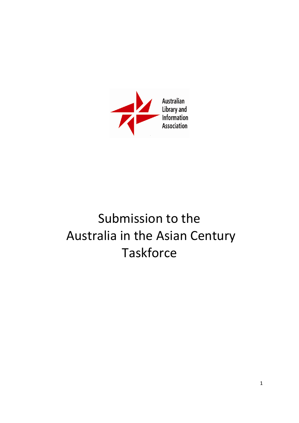

# Submission to the Australia in the Asian Century **Taskforce**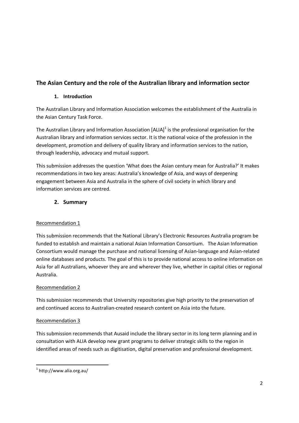## **The Asian Century and the role of the Australian library and information sector**

## **1. Introduction**

The Australian Library and Information Association welcomes the establishment of the Australia in the Asian Century Task Force.

The Australian Library and Information Association  $[ALIA]^1$  is the professional organisation for the Australian library and information services sector. It is the national voice of the profession in the development, promotion and delivery of quality library and information services to the nation, through leadership, advocacy and mutual support.

This submission addresses the question 'What does the Asian century mean for Australia?' It makes recommendations in two key areas: Australia's knowledge of Asia, and ways of deepening engagement between Asia and Australia in the sphere of civil society in which library and information services are centred.

## **2. Summary**

## Recommendation 1

This submission recommends that the National Library's Electronic Resources Australia program be funded to establish and maintain a national Asian Information Consortium. The Asian Information Consortium would manage the purchase and national licensing of Asian-language and Asian-related online databases and products. The goal of this is to provide national access to online information on Asia for all Australians, whoever they are and wherever they live, whether in capital cities or regional Australia.

## Recommendation 2

This submission recommends that University repositories give high priority to the preservation of and continued access to Australian-created research content on Asia into the future.

## Recommendation 3

This submission recommends that Ausaid include the library sector in its long term planning and in consultation with ALIA develop new grant programs to deliver strategic skills to the region in identified areas of needs such as digitisation, digital preservation and professional development.

1

<sup>1</sup> http://www.alia.org.au/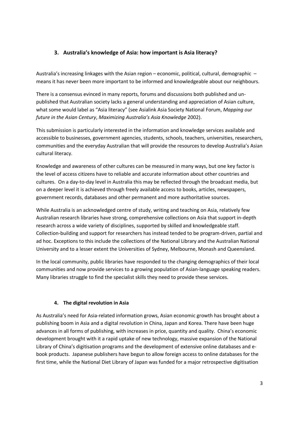## **3. Australia's knowledge of Asia: how important is Asia literacy?**

Australia's increasing linkages with the Asian region – economic, political, cultural, demographic – means it has never been more important to be informed and knowledgeable about our neighbours.

There is a consensus evinced in many reports, forums and discussions both published and unpublished that Australian society lacks a general understanding and appreciation of Asian culture, what some would label as "Asia literacy" (see Asialink Asia Society National Forum, *Mapping our future in the Asian Century*, *Maximizing Australia's Asia Knowledge* 2002).

This submission is particularly interested in the information and knowledge services available and accessible to businesses, government agencies, students, schools, teachers, universities, researchers, communities and the everyday Australian that will provide the resources to develop Australia's Asian cultural literacy.

Knowledge and awareness of other cultures can be measured in many ways, but one key factor is the level of access citizens have to reliable and accurate information about other countries and cultures. On a day-to-day level in Australia this may be reflected through the broadcast media, but on a deeper level it is achieved through freely available access to books, articles, newspapers, government records, databases and other permanent and more authoritative sources.

While Australia is an acknowledged centre of study, writing and teaching on Asia, relatively few Australian research libraries have strong, comprehensive collections on Asia that support in-depth research across a wide variety of disciplines, supported by skilled and knowledgeable staff. Collection-building and support for researchers has instead tended to be program-driven, partial and ad hoc. Exceptions to this include the collections of the National Library and the Australian National University and to a lesser extent the Universities of Sydney, Melbourne, Monash and Queensland.

In the local community, public libraries have responded to the changing demographics of their local communities and now provide services to a growing population of Asian-language speaking readers. Many libraries struggle to find the specialist skills they need to provide these services.

#### **4. The digital revolution in Asia**

As Australia's need for Asia-related information grows, Asian economic growth has brought about a publishing boom in Asia and a digital revolution in China, Japan and Korea. There have been huge advances in all forms of publishing, with increases in price, quantity and quality. China's economic development brought with it a rapid uptake of new technology, massive expansion of the National Library of China's digitisation programs and the development of extensive online databases and ebook products. Japanese publishers have begun to allow foreign access to online databases for the first time, while the National Diet Library of Japan was funded for a major retrospective digitisation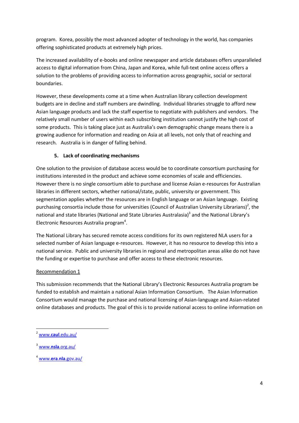program. Korea, possibly the most advanced adopter of technology in the world, has companies offering sophisticated products at extremely high prices.

The increased availability of e-books and online newspaper and article databases offers unparalleled access to digital information from China, Japan and Korea, while full-text online access offers a solution to the problems of providing access to information across geographic, social or sectoral boundaries.

However, these developments come at a time when Australian library collection development budgets are in decline and staff numbers are dwindling. Individual libraries struggle to afford new Asian language products and lack the staff expertise to negotiate with publishers and vendors. The relatively small number of users within each subscribing institution cannot justify the high cost of some products. This is taking place just as Australia's own demographic change means there is a growing audience for information and reading on Asia at all levels, not only that of reaching and research. Australia is in danger of falling behind.

## **5. Lack of coordinating mechanisms**

One solution to the provision of database access would be to coordinate consortium purchasing for institutions interested in the product and achieve some economies of scale and efficiencies. However there is no single consortium able to purchase and license Asian e-resources for Australian libraries in different sectors, whether national/state, public, university or government. This segmentation applies whether the resources are in English language or an Asian language. Existing purchasing consortia include those for universities (Council of Australian University Librarians)<sup>2</sup>, the national and state libraries (National and State Libraries Australasia)<sup>3</sup> and the National Library's Electronic Resources Australia program<sup>4</sup>.

The National Library has secured remote access conditions for its own registered NLA users for a selected number of Asian language e-resources. However, it has no resource to develop this into a national service. Public and university libraries in regional and metropolitan areas alike do not have the funding or expertise to purchase and offer access to these electronic resources.

#### Recommendation 1

This submission recommends that the National Library's Electronic Resources Australia program be funded to establish and maintain a national Asian Information Consortium. The Asian Information Consortium would manage the purchase and national licensing of Asian-language and Asian-related online databases and products. The goal of this is to provide national access to online information on

**.** 

<sup>2</sup> www.**caul**[.edu.au/](http://www.caul.edu.au/)

<sup>3</sup> www.**nsla**[.org.au/](http://www.nsla.org.au/)

<sup>4</sup> www.**era**.**nla**[.gov.au/](http://www.era.nla.gov.au/)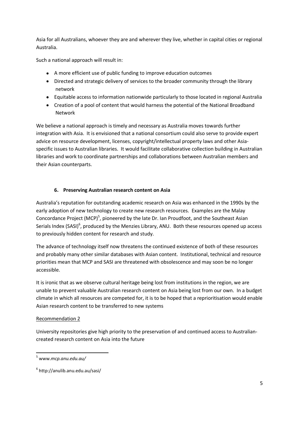Asia for all Australians, whoever they are and wherever they live, whether in capital cities or regional Australia.

Such a national approach will result in:

- A more efficient use of public funding to improve education outcomes
- Directed and strategic delivery of services to the broader community through the library network
- Equitable access to information nationwide particularly to those located in regional Australia
- Creation of a pool of content that would harness the potential of the National Broadband  $\bullet$ Network

We believe a national approach is timely and necessary as Australia moves towards further integration with Asia. It is envisioned that a national consortium could also serve to provide expert advice on resource development, licenses, copyright/intellectual property laws and other Asiaspecific issues to Australian libraries. It would facilitate collaborative collection building in Australian libraries and work to coordinate partnerships and collaborations between Australian members and their Asian counterparts.

## **6. Preserving Australian research content on Asia**

Australia's reputation for outstanding academic research on Asia was enhanced in the 1990s by the early adoption of new technology to create new research resources. Examples are the Malay Concordance Project (MCP)<sup>5</sup>, pioneered by the late Dr. Ian Proudfoot, and the Southeast Asian Serials Index (SASI)<sup>6</sup>, produced by the Menzies Library, ANU. Both these resources opened up access to previously hidden content for research and study.

The advance of technology itself now threatens the continued existence of both of these resources and probably many other similar databases with Asian content. Institutional, technical and resource priorities mean that MCP and SASI are threatened with obsolescence and may soon be no longer accessible.

It is ironic that as we observe cultural heritage being lost from institutions in the region, we are unable to prevent valuable Australian research content on Asia being lost from our own. In a budget climate in which all resources are competed for, it is to be hoped that a reprioritisation would enable Asian research content to be transferred to new systems

## Recommendation 2

University repositories give high priority to the preservation of and continued access to Australiancreated research content on Asia into the future

**.** 

<sup>5</sup> www.*mcp.anu.edu.au/*

<sup>6</sup> http://anulib.anu.edu.au/sasi/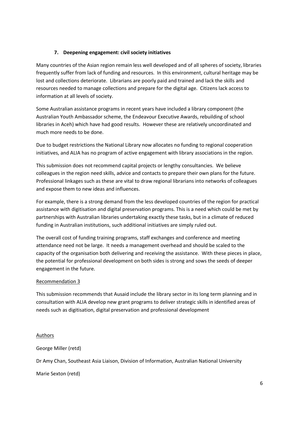#### **7. Deepening engagement: civil society initiatives**

Many countries of the Asian region remain less well developed and of all spheres of society, libraries frequently suffer from lack of funding and resources. In this environment, cultural heritage may be lost and collections deteriorate. Librarians are poorly paid and trained and lack the skills and resources needed to manage collections and prepare for the digital age. Citizens lack access to information at all levels of society.

Some Australian assistance programs in recent years have included a library component (the Australian Youth Ambassador scheme, the Endeavour Executive Awards, rebuilding of school libraries in Aceh) which have had good results. However these are relatively uncoordinated and much more needs to be done.

Due to budget restrictions the National Library now allocates no funding to regional cooperation initiatives, and ALIA has no program of active engagement with library associations in the region.

This submission does not recommend capital projects or lengthy consultancies. We believe colleagues in the region need skills, advice and contacts to prepare their own plans for the future. Professional linkages such as these are vital to draw regional librarians into networks of colleagues and expose them to new ideas and influences.

For example, there is a strong demand from the less developed countries of the region for practical assistance with digitisation and digital preservation programs. This is a need which could be met by partnerships with Australian libraries undertaking exactly these tasks, but in a climate of reduced funding in Australian institutions, such additional initiatives are simply ruled out.

The overall cost of funding training programs, staff exchanges and conference and meeting attendance need not be large. It needs a management overhead and should be scaled to the capacity of the organisation both delivering and receiving the assistance. With these pieces in place, the potential for professional development on both sides is strong and sows the seeds of deeper engagement in the future.

#### Recommendation 3

This submission recommends that Ausaid include the library sector in its long term planning and in consultation with ALIA develop new grant programs to deliver strategic skills in identified areas of needs such as digitisation, digital preservation and professional development

#### Authors

George Miller (retd)

Dr Amy Chan, Southeast Asia Liaison, Division of Information, Australian National University

Marie Sexton (retd)